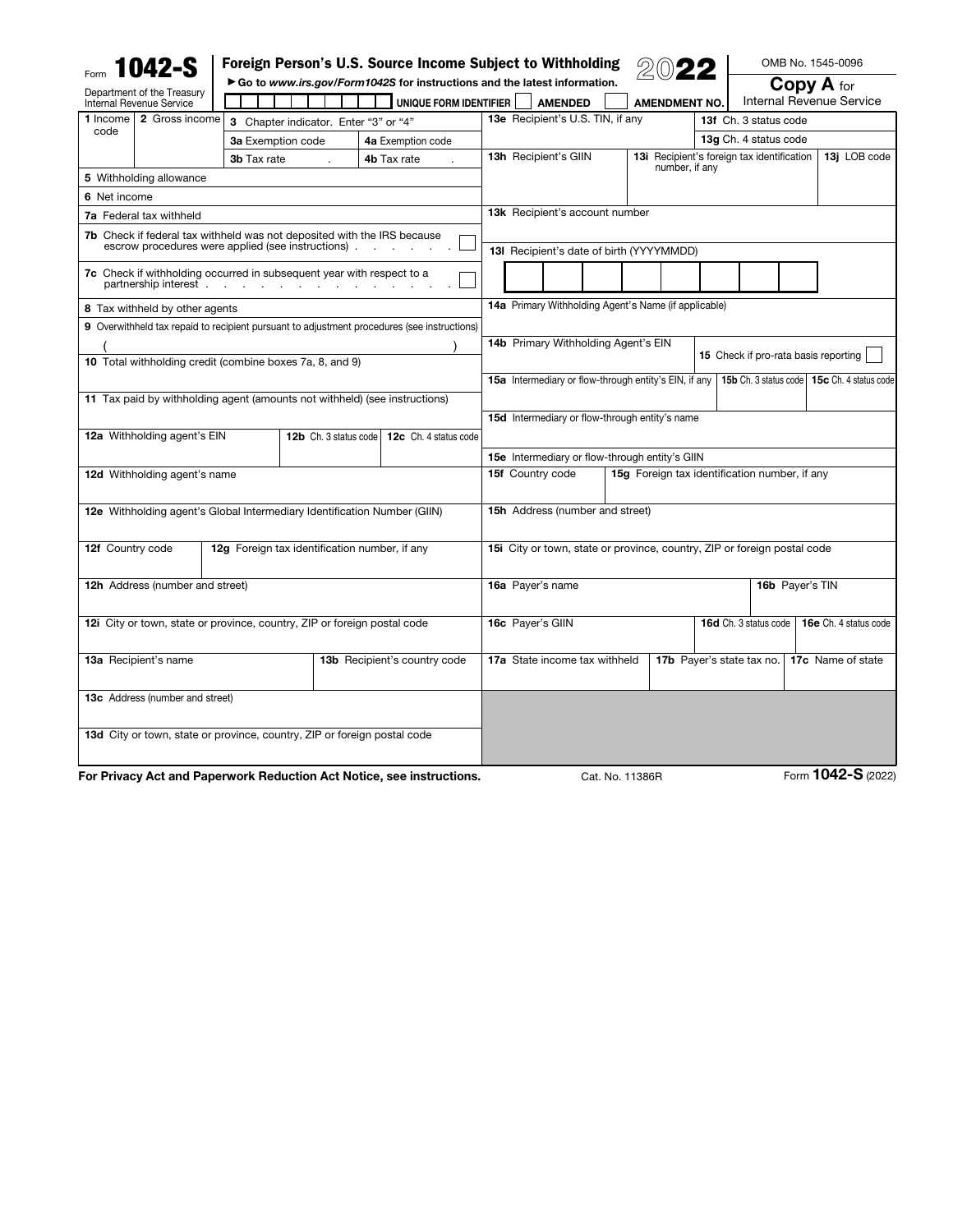|                  | <b>1042-S</b>                                                                                                                       |                    |                                               |                                                                                             | Foreign Person's U.S. Source Income Subject to Withholding               |  |                      |                                                   |                   | OMB No. 1545-0096                             |  |
|------------------|-------------------------------------------------------------------------------------------------------------------------------------|--------------------|-----------------------------------------------|---------------------------------------------------------------------------------------------|--------------------------------------------------------------------------|--|----------------------|---------------------------------------------------|-------------------|-----------------------------------------------|--|
|                  | Department of the Treasury                                                                                                          |                    |                                               |                                                                                             | Go to www.irs.gov/Form1042S for instructions and the latest information. |  |                      |                                                   | <b>Copy A</b> for |                                               |  |
|                  | Internal Revenue Service                                                                                                            |                    |                                               | UNIQUE FORM IDENTIFIER                                                                      | <b>AMENDED</b>                                                           |  | <b>AMENDMENT NO.</b> |                                                   |                   | Internal Revenue Service                      |  |
| 1 Income         | 2 Gross income                                                                                                                      |                    | 3 Chapter indicator. Enter "3" or "4"         |                                                                                             | 13e Recipient's U.S. TIN, if any                                         |  |                      | 13f Ch. 3 status code                             |                   |                                               |  |
| code             |                                                                                                                                     | 3a Exemption code  |                                               | 4a Exemption code                                                                           |                                                                          |  |                      | 13q Ch. 4 status code                             |                   |                                               |  |
|                  |                                                                                                                                     | <b>3b</b> Tax rate |                                               | 4b Tax rate                                                                                 | 13h Recipient's GIIN                                                     |  |                      | <b>13i</b> Recipient's foreign tax identification |                   | 13j LOB code                                  |  |
|                  | 5 Withholding allowance                                                                                                             |                    |                                               |                                                                                             |                                                                          |  | number, if any       |                                                   |                   |                                               |  |
| 6 Net income     |                                                                                                                                     |                    |                                               |                                                                                             |                                                                          |  |                      |                                                   |                   |                                               |  |
|                  | 7a Federal tax withheld                                                                                                             |                    |                                               |                                                                                             | 13k Recipient's account number                                           |  |                      |                                                   |                   |                                               |  |
|                  | <b>7b</b> Check if federal tax withheld was not deposited with the IRS because<br>escrow procedures were applied (see instructions) |                    |                                               |                                                                                             | 13I Recipient's date of birth (YYYYMMDD)                                 |  |                      |                                                   |                   |                                               |  |
|                  |                                                                                                                                     |                    |                                               |                                                                                             |                                                                          |  |                      |                                                   |                   |                                               |  |
|                  | 7c Check if withholding occurred in subsequent year with respect to a                                                               |                    |                                               |                                                                                             |                                                                          |  |                      |                                                   |                   |                                               |  |
|                  | 8 Tax withheld by other agents                                                                                                      |                    |                                               |                                                                                             | 14a Primary Withholding Agent's Name (if applicable)                     |  |                      |                                                   |                   |                                               |  |
|                  |                                                                                                                                     |                    |                                               | 9 Overwithheld tax repaid to recipient pursuant to adjustment procedures (see instructions) |                                                                          |  |                      |                                                   |                   |                                               |  |
|                  |                                                                                                                                     |                    |                                               |                                                                                             | 14b Primary Withholding Agent's EIN                                      |  |                      |                                                   |                   |                                               |  |
|                  | 10 Total withholding credit (combine boxes 7a, 8, and 9)                                                                            |                    |                                               |                                                                                             |                                                                          |  |                      | 15 Check if pro-rata basis reporting              |                   |                                               |  |
|                  |                                                                                                                                     |                    |                                               |                                                                                             | 15a Intermediary or flow-through entity's EIN, if any                    |  |                      |                                                   |                   | 15b Ch. 3 status code   15c Ch. 4 status code |  |
|                  | 11 Tax paid by withholding agent (amounts not withheld) (see instructions)                                                          |                    |                                               |                                                                                             |                                                                          |  |                      |                                                   |                   |                                               |  |
|                  |                                                                                                                                     |                    |                                               |                                                                                             | 15d Intermediary or flow-through entity's name                           |  |                      |                                                   |                   |                                               |  |
|                  | 12a Withholding agent's EIN                                                                                                         |                    | 12b Ch. 3 status code                         | 12c Ch. 4 status code                                                                       |                                                                          |  |                      |                                                   |                   |                                               |  |
|                  |                                                                                                                                     |                    |                                               |                                                                                             | 15e Intermediary or flow-through entity's GIIN                           |  |                      |                                                   |                   |                                               |  |
|                  | 12d Withholding agent's name                                                                                                        |                    |                                               |                                                                                             | 15f Country code<br>15g Foreign tax identification number, if any        |  |                      |                                                   |                   |                                               |  |
|                  |                                                                                                                                     |                    |                                               |                                                                                             |                                                                          |  |                      |                                                   |                   |                                               |  |
|                  | 12e Withholding agent's Global Intermediary Identification Number (GIIN)                                                            |                    |                                               |                                                                                             | 15h Address (number and street)                                          |  |                      |                                                   |                   |                                               |  |
|                  |                                                                                                                                     |                    |                                               |                                                                                             |                                                                          |  |                      |                                                   |                   |                                               |  |
| 12f Country code |                                                                                                                                     |                    | 12g Foreign tax identification number, if any |                                                                                             | 15i City or town, state or province, country, ZIP or foreign postal code |  |                      |                                                   |                   |                                               |  |
|                  |                                                                                                                                     |                    |                                               |                                                                                             |                                                                          |  |                      |                                                   |                   |                                               |  |
|                  | <b>12h</b> Address (number and street)                                                                                              |                    |                                               |                                                                                             | 16a Payer's name                                                         |  |                      |                                                   | 16b Payer's TIN   |                                               |  |
|                  |                                                                                                                                     |                    |                                               |                                                                                             |                                                                          |  |                      |                                                   |                   |                                               |  |
|                  | 12i City or town, state or province, country, ZIP or foreign postal code                                                            |                    |                                               |                                                                                             | 16c Payer's GIIN                                                         |  |                      | 16d Ch. 3 status code                             |                   | 16e Ch. 4 status code                         |  |
|                  |                                                                                                                                     |                    |                                               |                                                                                             |                                                                          |  |                      |                                                   |                   |                                               |  |
|                  | 13a Recipient's name                                                                                                                |                    |                                               | 13b Recipient's country code                                                                | 17a State income tax withheld                                            |  |                      | 17b Payer's state tax no.                         |                   | 17c Name of state                             |  |
|                  |                                                                                                                                     |                    |                                               |                                                                                             |                                                                          |  |                      |                                                   |                   |                                               |  |
|                  | <b>13c</b> Address (number and street)                                                                                              |                    |                                               |                                                                                             |                                                                          |  |                      |                                                   |                   |                                               |  |
|                  |                                                                                                                                     |                    |                                               |                                                                                             |                                                                          |  |                      |                                                   |                   |                                               |  |
|                  | 13d City or town, state or province, country, ZIP or foreign postal code                                                            |                    |                                               |                                                                                             |                                                                          |  |                      |                                                   |                   |                                               |  |
|                  |                                                                                                                                     |                    |                                               |                                                                                             |                                                                          |  |                      |                                                   |                   |                                               |  |
|                  |                                                                                                                                     |                    |                                               |                                                                                             |                                                                          |  |                      |                                                   |                   |                                               |  |

For Privacy Act and Paperwork Reduction Act Notice, see instructions. Cat. No. 11386R Form **1042-S** (2022)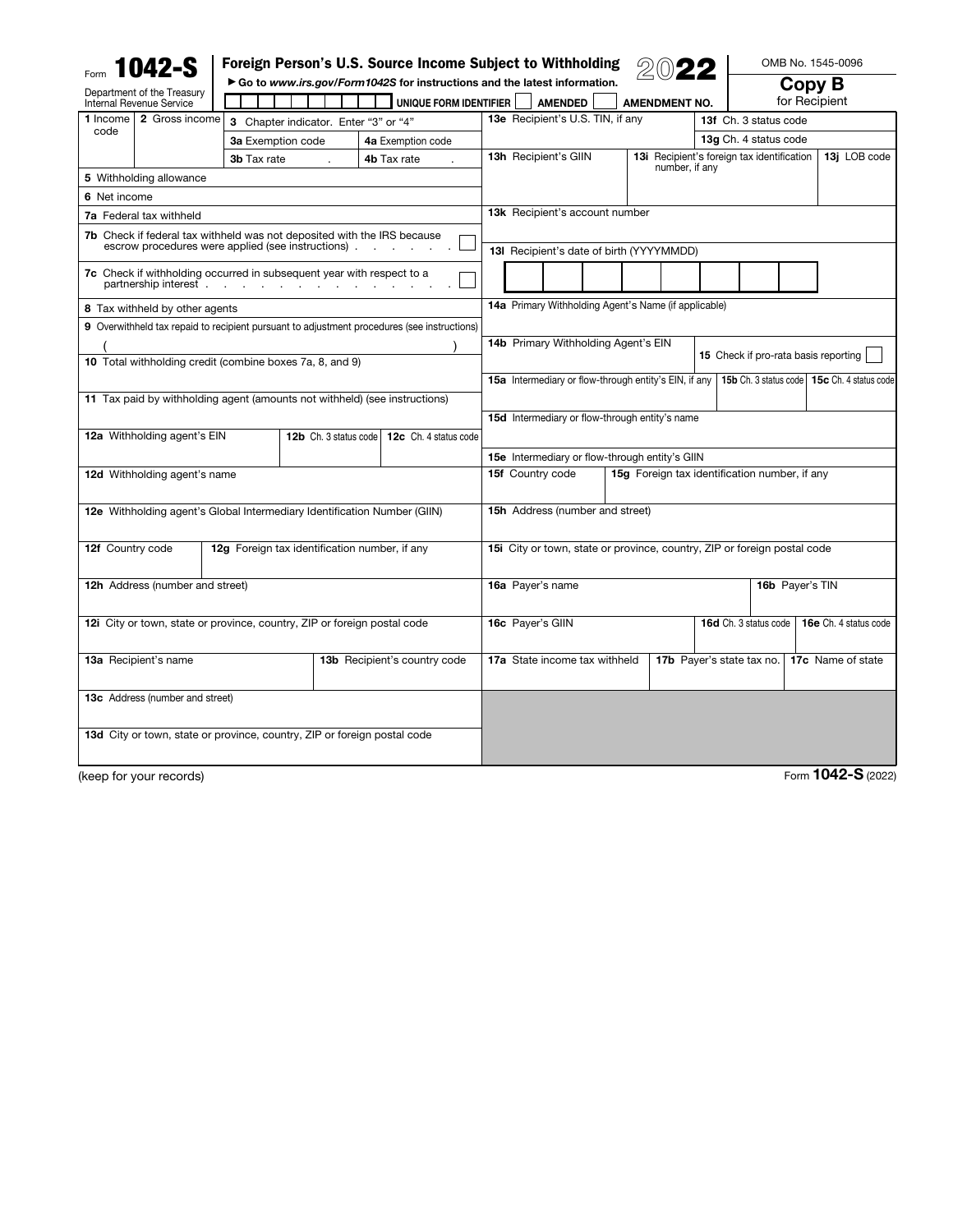|                                                      | 1042-S                                                                                                                        |                                        |                                               |  | Foreign Person's U.S. Source Income Subject to Withholding<br>Go to www.irs.gov/Form1042S for instructions and the latest information. |                                                                          |                |  |  |                           |                                            |  |                       |                       |                   | OMB No. 1545-0096                             |              |
|------------------------------------------------------|-------------------------------------------------------------------------------------------------------------------------------|----------------------------------------|-----------------------------------------------|--|----------------------------------------------------------------------------------------------------------------------------------------|--------------------------------------------------------------------------|----------------|--|--|---------------------------|--------------------------------------------|--|-----------------------|-----------------------|-------------------|-----------------------------------------------|--------------|
|                                                      | Department of the Treasury<br>Internal Revenue Service                                                                        |                                        |                                               |  | UNIQUE FORM IDENTIFIER                                                                                                                 |                                                                          | <b>AMENDED</b> |  |  |                           | <b>AMENDMENT NO.</b>                       |  |                       |                       |                   | Copy B<br>for Recipient                       |              |
| 1 Income                                             | 2 Gross income                                                                                                                |                                        | 3 Chapter indicator. Enter "3" or "4"         |  |                                                                                                                                        | 13e Recipient's U.S. TIN, if any                                         |                |  |  |                           |                                            |  | 13f Ch. 3 status code |                       |                   |                                               |              |
| code                                                 |                                                                                                                               | 3a Exemption code<br>4a Exemption code |                                               |  |                                                                                                                                        |                                                                          |                |  |  |                           |                                            |  |                       | 13g Ch. 4 status code |                   |                                               |              |
|                                                      |                                                                                                                               | 3b Tax rate                            |                                               |  | 4b Tax rate                                                                                                                            | 13h Recipient's GIIN                                                     |                |  |  |                           | 13i Recipient's foreign tax identification |  |                       |                       |                   |                                               | 13j LOB code |
|                                                      | 5 Withholding allowance                                                                                                       |                                        |                                               |  |                                                                                                                                        |                                                                          |                |  |  |                           | number, if any                             |  |                       |                       |                   |                                               |              |
| 6 Net income                                         |                                                                                                                               |                                        |                                               |  |                                                                                                                                        |                                                                          |                |  |  |                           |                                            |  |                       |                       |                   |                                               |              |
|                                                      | 7a Federal tax withheld                                                                                                       |                                        |                                               |  |                                                                                                                                        | 13k Recipient's account number                                           |                |  |  |                           |                                            |  |                       |                       |                   |                                               |              |
|                                                      | 7b Check if federal tax withheld was not deposited with the IRS because<br>escrow procedures were applied (see instructions). |                                        |                                               |  |                                                                                                                                        |                                                                          |                |  |  |                           |                                            |  |                       |                       |                   |                                               |              |
|                                                      |                                                                                                                               |                                        |                                               |  |                                                                                                                                        | 13I Recipient's date of birth (YYYYMMDD)                                 |                |  |  |                           |                                            |  |                       |                       |                   |                                               |              |
|                                                      | 7c Check if withholding occurred in subsequent year with respect to a<br>partnership interest.                                |                                        |                                               |  |                                                                                                                                        |                                                                          |                |  |  |                           |                                            |  |                       |                       |                   |                                               |              |
|                                                      | 8 Tax withheld by other agents                                                                                                |                                        |                                               |  |                                                                                                                                        | 14a Primary Withholding Agent's Name (if applicable)                     |                |  |  |                           |                                            |  |                       |                       |                   |                                               |              |
|                                                      |                                                                                                                               |                                        |                                               |  | 9 Overwithheld tax repaid to recipient pursuant to adjustment procedures (see instructions)                                            |                                                                          |                |  |  |                           |                                            |  |                       |                       |                   |                                               |              |
|                                                      |                                                                                                                               |                                        |                                               |  |                                                                                                                                        | 14b Primary Withholding Agent's EIN                                      |                |  |  |                           |                                            |  |                       |                       |                   |                                               |              |
|                                                      | 10 Total withholding credit (combine boxes 7a, 8, and 9)                                                                      |                                        |                                               |  |                                                                                                                                        | 15 Check if pro-rata basis reporting                                     |                |  |  |                           |                                            |  |                       |                       |                   |                                               |              |
|                                                      |                                                                                                                               |                                        |                                               |  |                                                                                                                                        | 15a Intermediary or flow-through entity's EIN, if any                    |                |  |  |                           |                                            |  |                       |                       |                   | 15b Ch. 3 status code   15c Ch. 4 status code |              |
|                                                      | 11 Tax paid by withholding agent (amounts not withheld) (see instructions)                                                    |                                        |                                               |  |                                                                                                                                        |                                                                          |                |  |  |                           |                                            |  |                       |                       |                   |                                               |              |
|                                                      |                                                                                                                               |                                        |                                               |  |                                                                                                                                        | <b>15d</b> Intermediary or flow-through entity's name                    |                |  |  |                           |                                            |  |                       |                       |                   |                                               |              |
|                                                      | 12a Withholding agent's EIN                                                                                                   |                                        | 12b Ch. 3 status code                         |  | 12c Ch. 4 status code                                                                                                                  |                                                                          |                |  |  |                           |                                            |  |                       |                       |                   |                                               |              |
|                                                      |                                                                                                                               |                                        |                                               |  |                                                                                                                                        | 15e Intermediary or flow-through entity's GIIN                           |                |  |  |                           |                                            |  |                       |                       |                   |                                               |              |
|                                                      | 12d Withholding agent's name                                                                                                  |                                        |                                               |  |                                                                                                                                        | 15f Country code<br>15g Foreign tax identification number, if any        |                |  |  |                           |                                            |  |                       |                       |                   |                                               |              |
|                                                      | 12e Withholding agent's Global Intermediary Identification Number (GIIN)                                                      |                                        |                                               |  |                                                                                                                                        | 15h Address (number and street)                                          |                |  |  |                           |                                            |  |                       |                       |                   |                                               |              |
|                                                      |                                                                                                                               |                                        |                                               |  |                                                                                                                                        |                                                                          |                |  |  |                           |                                            |  |                       |                       |                   |                                               |              |
| 12f Country code                                     |                                                                                                                               |                                        | 12g Foreign tax identification number, if any |  |                                                                                                                                        | 15i City or town, state or province, country, ZIP or foreign postal code |                |  |  |                           |                                            |  |                       |                       |                   |                                               |              |
|                                                      | 12h Address (number and street)                                                                                               |                                        |                                               |  |                                                                                                                                        | 16a Payer's name<br>16b Payer's TIN                                      |                |  |  |                           |                                            |  |                       |                       |                   |                                               |              |
|                                                      | 12i City or town, state or province, country, ZIP or foreign postal code                                                      |                                        |                                               |  |                                                                                                                                        | 16c Payer's GIIN                                                         |                |  |  |                           |                                            |  |                       | 16d Ch. 3 status code |                   | 16e Ch. 4 status code                         |              |
|                                                      |                                                                                                                               |                                        |                                               |  |                                                                                                                                        |                                                                          |                |  |  |                           |                                            |  |                       |                       |                   |                                               |              |
| 13b Recipient's country code<br>13a Recipient's name |                                                                                                                               |                                        |                                               |  | 17a State income tax withheld                                                                                                          |                                                                          |                |  |  | 17b Payer's state tax no. |                                            |  |                       |                       | 17c Name of state |                                               |              |
|                                                      | <b>13c</b> Address (number and street)                                                                                        |                                        |                                               |  |                                                                                                                                        |                                                                          |                |  |  |                           |                                            |  |                       |                       |                   |                                               |              |
|                                                      |                                                                                                                               |                                        |                                               |  |                                                                                                                                        |                                                                          |                |  |  |                           |                                            |  |                       |                       |                   |                                               |              |
|                                                      | 13d City or town, state or province, country, ZIP or foreign postal code                                                      |                                        |                                               |  |                                                                                                                                        |                                                                          |                |  |  |                           |                                            |  |                       |                       |                   |                                               |              |
|                                                      |                                                                                                                               |                                        |                                               |  |                                                                                                                                        |                                                                          |                |  |  |                           |                                            |  |                       |                       |                   |                                               |              |
|                                                      | (keep for your records)                                                                                                       |                                        |                                               |  |                                                                                                                                        |                                                                          |                |  |  |                           |                                            |  |                       |                       |                   | Form 1042-S (2022)                            |              |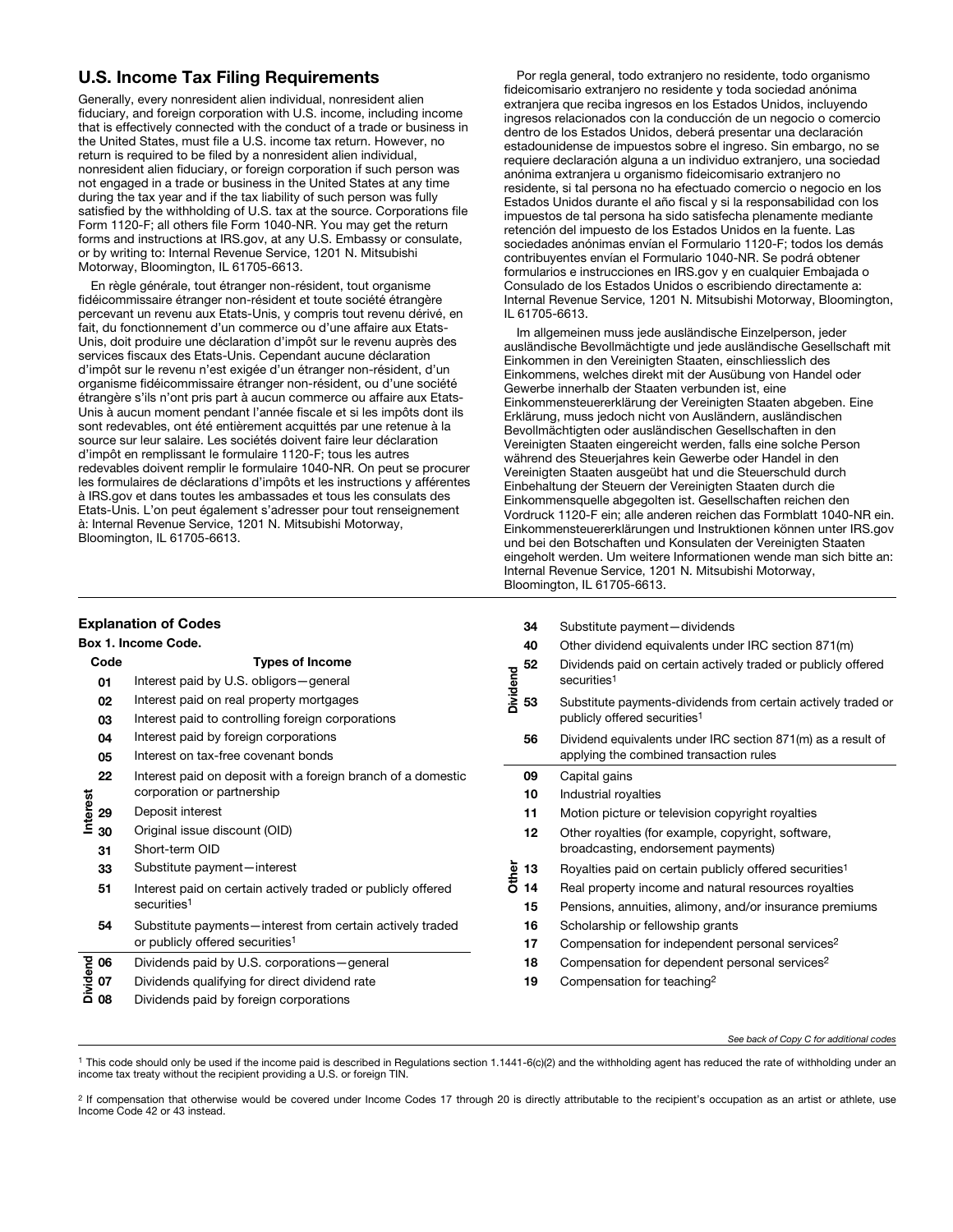# U.S. Income Tax Filing Requirements

Generally, every nonresident alien individual, nonresident alien fiduciary, and foreign corporation with U.S. income, including income that is effectively connected with the conduct of a trade or business in the United States, must file a U.S. income tax return. However, no return is required to be filed by a nonresident alien individual, nonresident alien fiduciary, or foreign corporation if such person was not engaged in a trade or business in the United States at any time during the tax year and if the tax liability of such person was fully satisfied by the withholding of U.S. tax at the source. Corporations file Form 1120-F; all others file Form 1040-NR. You may get the return forms and instructions at IRS.gov, at any U.S. Embassy or consulate, or by writing to: Internal Revenue Service, 1201 N. Mitsubishi Motorway, Bloomington, IL 61705-6613.

En règle générale, tout étranger non-résident, tout organisme fidéicommissaire étranger non-résident et toute société étrangère percevant un revenu aux Etats-Unis, y compris tout revenu dérivé, en fait, du fonctionnement d'un commerce ou d'une affaire aux Etats-Unis, doit produire une déclaration d'impôt sur le revenu auprès des services fiscaux des Etats-Unis. Cependant aucune déclaration d'impôt sur le revenu n'est exigée d'un étranger non-résident, d'un organisme fidéicommissaire étranger non-résident, ou d'une société étrangère s'ils n'ont pris part à aucun commerce ou affaire aux Etats-Unis à aucun moment pendant l'année fiscale et si les impôts dont ils sont redevables, ont été entièrement acquittés par une retenue à la source sur leur salaire. Les sociétés doivent faire leur déclaration d'impôt en remplissant le formulaire 1120-F; tous les autres redevables doivent remplir le formulaire 1040-NR. On peut se procurer les formulaires de déclarations d'impôts et les instructions y afférentes à IRS.gov et dans toutes les ambassades et tous les consulats des Etats-Unis. L'on peut également s'adresser pour tout renseignement à: Internal Revenue Service, 1201 N. Mitsubishi Motorway, Bloomington, IL 61705-6613.

## Explanation of Codes

|          |      | <b>Box 1. Income Code.</b>                                                                               |
|----------|------|----------------------------------------------------------------------------------------------------------|
|          | Code | <b>Types of Income</b>                                                                                   |
|          | 01   | Interest paid by U.S. obligors-general                                                                   |
|          | 02   | Interest paid on real property mortgages                                                                 |
|          | 03   | Interest paid to controlling foreign corporations                                                        |
|          | 04   | Interest paid by foreign corporations                                                                    |
|          | 05   | Interest on tax-free covenant bonds                                                                      |
|          | 22   | Interest paid on deposit with a foreign branch of a domestic<br>corporation or partnership               |
| Interest | 29   | Deposit interest                                                                                         |
|          | 30   | Original issue discount (OID)                                                                            |
|          | 31   | Short-term OID                                                                                           |
|          | 33   | Substitute payment-interest                                                                              |
|          | 51   | Interest paid on certain actively traded or publicly offered<br>securities <sup>1</sup>                  |
|          | 54   | Substitute payments-interest from certain actively traded<br>or publicly offered securities <sup>1</sup> |
|          | 06   | Dividends paid by U.S. corporations—general                                                              |
| Dividend | 07   | Dividends qualifying for direct dividend rate                                                            |
|          | 08   | Dividends paid by foreign corporations                                                                   |

Por regla general, todo extranjero no residente, todo organismo fideicomisario extranjero no residente y toda sociedad anónima extranjera que reciba ingresos en los Estados Unidos, incluyendo ingresos relacionados con la conducción de un negocio o comercio dentro de los Estados Unidos, deberá presentar una declaración estadounidense de impuestos sobre el ingreso. Sin embargo, no se requiere declaración alguna a un individuo extranjero, una sociedad anónima extranjera u organismo fideicomisario extranjero no residente, si tal persona no ha efectuado comercio o negocio en los Estados Unidos durante el año fiscal y si la responsabilidad con los impuestos de tal persona ha sido satisfecha plenamente mediante retención del impuesto de los Estados Unidos en la fuente. Las sociedades anónimas envían el Formulario 1120-F; todos los demás contribuyentes envían el Formulario 1040-NR. Se podrá obtener formularios e instrucciones en IRS.gov y en cualquier Embajada o Consulado de los Estados Unidos o escribiendo directamente a: Internal Revenue Service, 1201 N. Mitsubishi Motorway, Bloomington, IL 61705-6613.

Im allgemeinen muss jede ausländische Einzelperson, jeder ausländische Bevollmächtigte und jede ausländische Gesellschaft mit Einkommen in den Vereinigten Staaten, einschliesslich des Einkommens, welches direkt mit der Ausübung von Handel oder Gewerbe innerhalb der Staaten verbunden ist, eine Einkommensteuererklärung der Vereinigten Staaten abgeben. Eine Erklärung, muss jedoch nicht von Ausländern, ausländischen Bevollmächtigten oder ausländischen Gesellschaften in den Vereinigten Staaten eingereicht werden, falls eine solche Person während des Steuerjahres kein Gewerbe oder Handel in den Vereinigten Staaten ausgeübt hat und die Steuerschuld durch Einbehaltung der Steuern der Vereinigten Staaten durch die Einkommensquelle abgegolten ist. Gesellschaften reichen den Vordruck 1120-F ein; alle anderen reichen das Formblatt 1040-NR ein. Einkommensteuererklärungen und Instruktionen können unter IRS.gov und bei den Botschaften und Konsulaten der Vereinigten Staaten eingeholt werden. Um weitere Informationen wende man sich bitte an: Internal Revenue Service, 1201 N. Mitsubishi Motorway, Bloomington, IL 61705-6613.

|                 | 34 | Substitute payment-dividends                                                                              |
|-----------------|----|-----------------------------------------------------------------------------------------------------------|
|                 | 40 | Other dividend equivalents under IRC section 871(m)                                                       |
| <b>Dividend</b> | 52 | Dividends paid on certain actively traded or publicly offered<br>securities <sup>1</sup>                  |
|                 | 53 | Substitute payments-dividends from certain actively traded or<br>publicly offered securities <sup>1</sup> |
|                 | 56 | Dividend equivalents under IRC section 871(m) as a result of<br>applying the combined transaction rules   |
|                 | 09 | Capital gains                                                                                             |
|                 | 10 | Industrial royalties                                                                                      |
|                 | 11 | Motion picture or television copyright royalties                                                          |
|                 | 12 | Other royalties (for example, copyright, software,<br>broadcasting, endorsement payments)                 |
| Other           | 13 | Royalties paid on certain publicly offered securities <sup>1</sup>                                        |
|                 | 14 | Real property income and natural resources royalties                                                      |
|                 | 15 | Pensions, annuities, alimony, and/or insurance premiums                                                   |
|                 | 16 | Scholarship or fellowship grants                                                                          |
|                 | 17 | Compensation for independent personal services <sup>2</sup>                                               |
|                 | 18 | Compensation for dependent personal services <sup>2</sup>                                                 |
|                 | 19 | Compensation for teaching <sup>2</sup>                                                                    |
|                 |    |                                                                                                           |

#### *See back of Copy C for additional codes*

<sup>1</sup> This code should only be used if the income paid is described in Regulations section 1.1441-6(c)(2) and the withholding agent has reduced the rate of withholding under an income tax treaty without the recipient providing a U.S. or foreign TIN.

Other

<sup>2</sup> If compensation that otherwise would be covered under Income Codes 17 through 20 is directly attributable to the recipient's occupation as an artist or athlete, use Income Code 42 or 43 instead.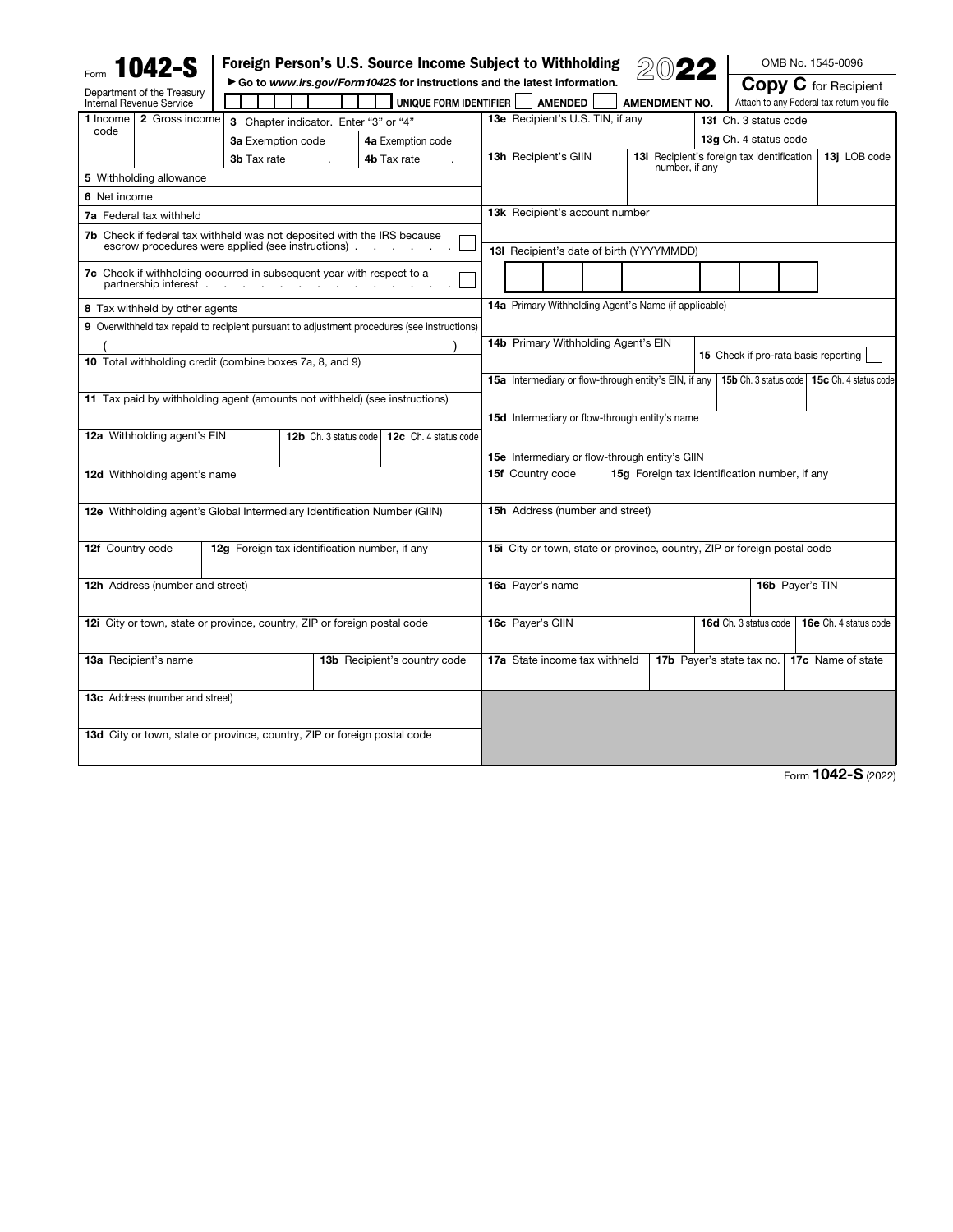|                                                                          | <b>1042-S</b>                          |                   |                                                                                                                              | Foreign Person's U.S. Source Income Subject to Withholding                                  |                                                                                                        |                                                            |                                                      |                                                                     |              |                       |  | OMB No. 1545-0096                         |
|--------------------------------------------------------------------------|----------------------------------------|-------------------|------------------------------------------------------------------------------------------------------------------------------|---------------------------------------------------------------------------------------------|--------------------------------------------------------------------------------------------------------|------------------------------------------------------------|------------------------------------------------------|---------------------------------------------------------------------|--------------|-----------------------|--|-------------------------------------------|
|                                                                          | Department of the Treasury             |                   |                                                                                                                              | Go to www.irs.gov/Form1042S for instructions and the latest information.                    |                                                                                                        |                                                            |                                                      |                                                                     |              |                       |  | <b>Copy C</b> for Recipient               |
| Internal Revenue Service                                                 |                                        |                   |                                                                                                                              | UNIQUE FORM IDENTIFIER                                                                      |                                                                                                        | <b>AMENDED</b>                                             |                                                      | <b>AMENDMENT NO.</b>                                                |              |                       |  | Attach to any Federal tax return you file |
| 1 Income<br>code                                                         | 2 Gross income                         |                   | 3 Chapter indicator. Enter "3" or "4"                                                                                        |                                                                                             |                                                                                                        | 13e Recipient's U.S. TIN, if any                           |                                                      | 13f Ch. 3 status code                                               |              |                       |  |                                           |
|                                                                          |                                        | 3a Exemption code |                                                                                                                              | 4a Exemption code                                                                           |                                                                                                        |                                                            | 13g Ch. 4 status code                                |                                                                     |              |                       |  |                                           |
|                                                                          |                                        | 3b Tax rate       |                                                                                                                              | 4b Tax rate                                                                                 | 13h Recipient's GIIN                                                                                   |                                                            |                                                      | <b>13i</b> Recipient's foreign tax identification<br>number, if any | 13j LOB code |                       |  |                                           |
|                                                                          | 5 Withholding allowance                |                   |                                                                                                                              |                                                                                             |                                                                                                        |                                                            |                                                      |                                                                     |              |                       |  |                                           |
| 6 Net income                                                             |                                        |                   |                                                                                                                              |                                                                                             |                                                                                                        |                                                            |                                                      |                                                                     |              |                       |  |                                           |
| <b>7a</b> Federal tax withheld                                           |                                        |                   |                                                                                                                              | <b>13k</b> Recipient's account number                                                       |                                                                                                        |                                                            |                                                      |                                                                     |              |                       |  |                                           |
|                                                                          |                                        |                   | 7b Check if federal tax withheld was not deposited with the IRS because<br>escrow procedures were applied (see instructions) |                                                                                             | 13I Recipient's date of birth (YYYYMMDD)                                                               |                                                            |                                                      |                                                                     |              |                       |  |                                           |
|                                                                          | partnership interest.                  |                   | <b>7c</b> Check if withholding occurred in subsequent year with respect to a<br>the control of the control of the            |                                                                                             |                                                                                                        |                                                            |                                                      |                                                                     |              |                       |  |                                           |
|                                                                          | 8 Tax withheld by other agents         |                   |                                                                                                                              |                                                                                             |                                                                                                        |                                                            | 14a Primary Withholding Agent's Name (if applicable) |                                                                     |              |                       |  |                                           |
|                                                                          |                                        |                   |                                                                                                                              | 9 Overwithheld tax repaid to recipient pursuant to adjustment procedures (see instructions) |                                                                                                        |                                                            |                                                      |                                                                     |              |                       |  |                                           |
|                                                                          |                                        |                   |                                                                                                                              |                                                                                             |                                                                                                        |                                                            | 14b Primary Withholding Agent's EIN                  |                                                                     |              |                       |  |                                           |
|                                                                          |                                        |                   | 10 Total withholding credit (combine boxes 7a, 8, and 9)                                                                     |                                                                                             |                                                                                                        |                                                            |                                                      |                                                                     |              |                       |  | 15 Check if pro-rata basis reporting      |
|                                                                          |                                        |                   |                                                                                                                              |                                                                                             | 15a Intermediary or flow-through entity's EIN, if any<br>15b Ch. 3 status code   15c Ch. 4 status code |                                                            |                                                      |                                                                     |              |                       |  |                                           |
|                                                                          |                                        |                   | 11 Tax paid by withholding agent (amounts not withheld) (see instructions)                                                   |                                                                                             |                                                                                                        |                                                            |                                                      |                                                                     |              |                       |  |                                           |
|                                                                          |                                        |                   |                                                                                                                              |                                                                                             |                                                                                                        |                                                            | 15d Intermediary or flow-through entity's name       |                                                                     |              |                       |  |                                           |
|                                                                          | 12a Withholding agent's EIN            |                   | 12b Ch. 3 status code                                                                                                        | 12c Ch. 4 status code                                                                       |                                                                                                        |                                                            |                                                      |                                                                     |              |                       |  |                                           |
|                                                                          |                                        |                   |                                                                                                                              |                                                                                             | 15e Intermediary or flow-through entity's GIIN                                                         |                                                            |                                                      |                                                                     |              |                       |  |                                           |
|                                                                          | 12d Withholding agent's name           |                   |                                                                                                                              |                                                                                             | 15f Country code<br>15g Foreign tax identification number, if any                                      |                                                            |                                                      |                                                                     |              |                       |  |                                           |
|                                                                          |                                        |                   |                                                                                                                              |                                                                                             |                                                                                                        |                                                            |                                                      |                                                                     |              |                       |  |                                           |
|                                                                          |                                        |                   | 12e Withholding agent's Global Intermediary Identification Number (GIIN)                                                     |                                                                                             | <b>15h</b> Address (number and street)                                                                 |                                                            |                                                      |                                                                     |              |                       |  |                                           |
|                                                                          |                                        |                   |                                                                                                                              |                                                                                             |                                                                                                        |                                                            |                                                      |                                                                     |              |                       |  |                                           |
| 12f Country code                                                         |                                        |                   | 12g Foreign tax identification number, if any                                                                                |                                                                                             | 15i City or town, state or province, country, ZIP or foreign postal code                               |                                                            |                                                      |                                                                     |              |                       |  |                                           |
|                                                                          | <b>12h</b> Address (number and street) |                   |                                                                                                                              |                                                                                             | 16b Payer's TIN<br>16a Payer's name                                                                    |                                                            |                                                      |                                                                     |              |                       |  |                                           |
|                                                                          |                                        |                   |                                                                                                                              |                                                                                             |                                                                                                        |                                                            |                                                      |                                                                     |              |                       |  |                                           |
| 12i City or town, state or province, country, ZIP or foreign postal code |                                        |                   |                                                                                                                              |                                                                                             | 16c Payer's GIIN                                                                                       |                                                            |                                                      |                                                                     |              | 16d Ch. 3 status code |  | 16e Ch. 4 status code                     |
| 13a Recipient's name                                                     |                                        |                   |                                                                                                                              | 13b Recipient's country code                                                                |                                                                                                        | 17b Payer's state tax no.<br>17a State income tax withheld |                                                      |                                                                     |              |                       |  | 17c Name of state                         |
|                                                                          | 13c Address (number and street)        |                   |                                                                                                                              |                                                                                             |                                                                                                        |                                                            |                                                      |                                                                     |              |                       |  |                                           |
|                                                                          |                                        |                   |                                                                                                                              |                                                                                             |                                                                                                        |                                                            |                                                      |                                                                     |              |                       |  |                                           |
|                                                                          |                                        |                   | 13d City or town, state or province, country, ZIP or foreign postal code                                                     |                                                                                             |                                                                                                        |                                                            |                                                      |                                                                     |              |                       |  |                                           |
|                                                                          |                                        |                   |                                                                                                                              |                                                                                             |                                                                                                        |                                                            |                                                      |                                                                     |              |                       |  |                                           |
|                                                                          |                                        |                   |                                                                                                                              |                                                                                             |                                                                                                        |                                                            |                                                      |                                                                     |              |                       |  |                                           |

Form 1042-S (2022)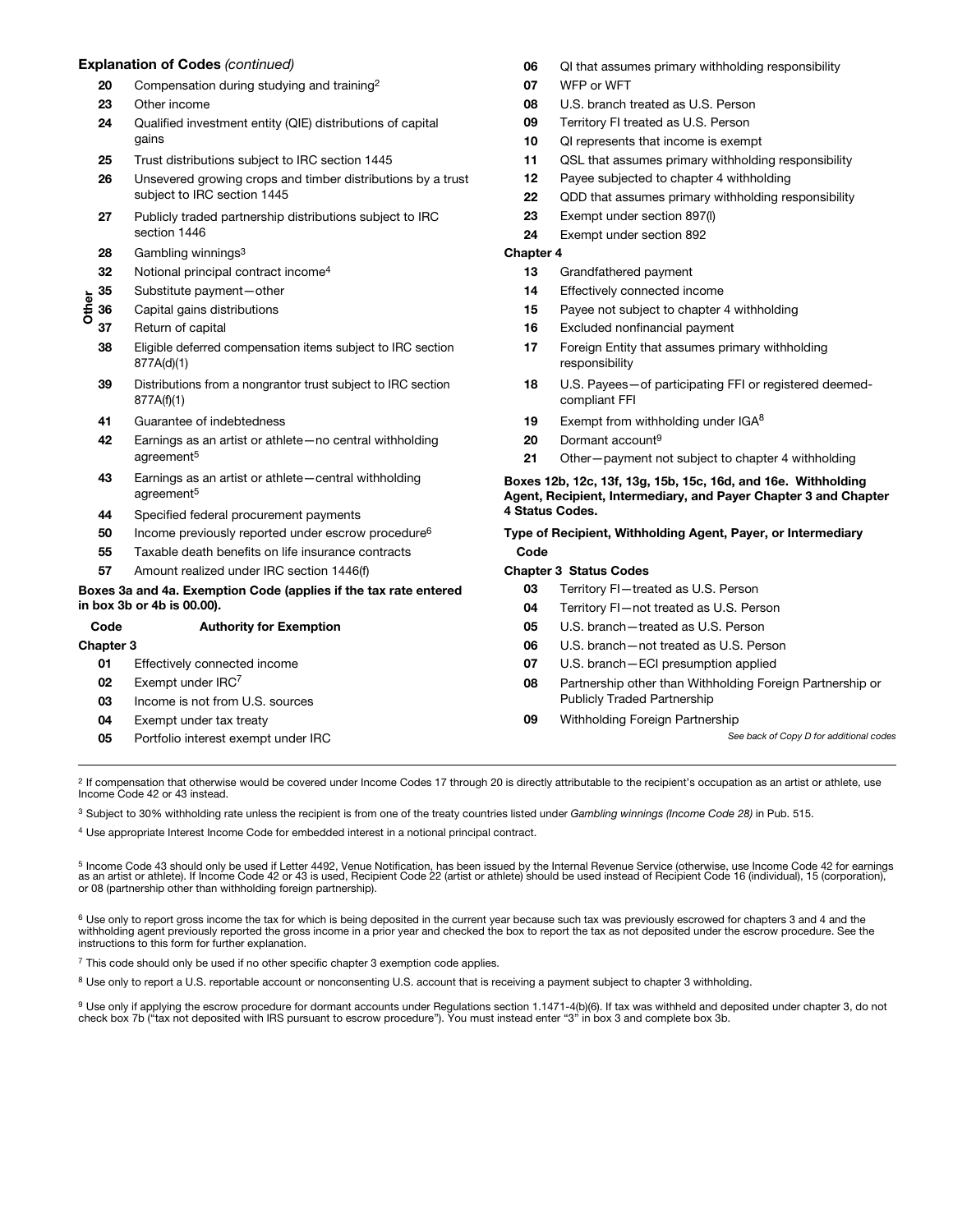#### Explanation of Codes *(continued)*

- 20 Compensation during studying and training<sup>2</sup>
- 23 Other income
- 24 Qualified investment entity (QIE) distributions of capital gains
- 25 Trust distributions subject to IRC section 1445
- 26 Unsevered growing crops and timber distributions by a trust subject to IRC section 1445
- 27 Publicly traded partnership distributions subject to IRC section 1446
- 28 Gambling winnings<sup>3</sup>
- 32 Notional principal contract income<sup>4</sup>
- 35 Substitute payment—other
- Other 36 Capital gains distributions
- 37 Return of capital
- 38 Eligible deferred compensation items subject to IRC section 877A(d)(1)
- 39 Distributions from a nongrantor trust subject to IRC section 877A(f)(1)
- 41 Guarantee of indebtedness
- 42 Earnings as an artist or athlete—no central withholding agreement5
- 43 Earnings as an artist or athlete—central withholding agreement5
- 44 Specified federal procurement payments
- 50 Income previously reported under escrow procedure<sup>6</sup>
- 55 Taxable death benefits on life insurance contracts
- 57 Amount realized under IRC section 1446(f)

#### Boxes 3a and 4a. Exemption Code (applies if the tax rate entered in box 3b or 4b is 00.00).

| Code             | <b>Authority for Exemption</b>      | 05 | U.S. branch-treated as U.S. Person   |
|------------------|-------------------------------------|----|--------------------------------------|
| <b>Chapter 3</b> |                                     | 06 | U.S. branch-not treated as U.S. Per  |
| 01               | Effectively connected income        | 07 | U.S. branch-ECI presumption applie   |
| 02               | Exempt under $IRC7$                 | 08 | Partnership other than Withholding F |
| 03               | Income is not from U.S. sources     |    | <b>Publicly Traded Partnership</b>   |
| 04               | Exempt under tax treaty             | 09 | Withholding Foreign Partnership      |
| 05               | Portfolio interest exempt under IRC |    | See back                             |
|                  |                                     |    |                                      |

 $2$  If compensation that otherwise would be covered under Income Codes 17 through 20 is directly attributable to the recipient's occupation as an artist or athlete, use Income Code 42 or 43 instead.

<sup>3</sup> Subject to 30% withholding rate unless the recipient is from one of the treaty countries listed under *Gambling winnings (Income Code 28)* in Pub. 515.

<sup>4</sup> Use appropriate Interest Income Code for embedded interest in a notional principal contract.

<sup>5</sup> Income Code 43 should only be used if Letter 4492, Venue Notification, has been issued by the Internal Revenue Service (otherwise, use Income Code 42 for earnings as an artist or athlete). If Income Code 42 or 43 is used, Recipient Code 22 (artist or athlete) should be used instead of Recipient Code 16 (individual), 15 (corporation), or 08 (partnership other than withholding foreign partnership).

<sup>6</sup> Use only to report gross income the tax for which is being deposited in the current year because such tax was previously escrowed for chapters 3 and 4 and the withholding agent previously reported the gross income in a prior year and checked the box to report the tax as not deposited under the escrow procedure. See the instructions to this form for further explanation.

<sup>7</sup> This code should only be used if no other specific chapter 3 exemption code applies.

8 Use only to report a U.S. reportable account or nonconsenting U.S. account that is receiving a payment subject to chapter 3 withholding.

<sup>9</sup> Use only if applying the escrow procedure for dormant accounts under Regulations section 1.1471-4(b)(6). If tax was withheld and deposited under chapter 3, do not check box 7b ("tax not deposited with IRS pursuant to escrow procedure"). You must instead enter "3" in box 3 and complete box 3b.

- 06 QI that assumes primary withholding responsibility
- 07 WFP or WFT
- 08 U.S. branch treated as U.S. Person
- 09 Territory FI treated as U.S. Person
- 10 QI represents that income is exempt
- 11 QSL that assumes primary withholding responsibility
- 12 Payee subjected to chapter 4 withholding
- 22 QDD that assumes primary withholding responsibility
- 23 Exempt under section 897(l)
- 24 Exempt under section 892

#### Chapter 4

- 13 Grandfathered payment
- 14 Effectively connected income
- 15 Payee not subject to chapter 4 withholding
- 16 Excluded nonfinancial payment
- 17 Foreign Entity that assumes primary withholding responsibility
- 18 U.S. Payees—of participating FFI or registered deemedcompliant FFI
- 19 Exempt from withholding under  $IGA<sup>8</sup>$
- 20 Dormant account<sup>9</sup>
- 21 Other-payment not subject to chapter 4 withholding

#### Boxes 12b, 12c, 13f, 13g, 15b, 15c, 16d, and 16e. Withholding Agent, Recipient, Intermediary, and Payer Chapter 3 and Chapter 4 Status Codes.

Type of Recipient, Withholding Agent, Payer, or Intermediary Code

#### Chapter 3 Status Codes

- 03 Territory FI-treated as U.S. Person
- 04 Territory FI—not treated as U.S. Person
- 06 U.S. branch-not treated as U.S. Person
- 07 U.S. branch-ECI presumption applied
- oreign Partnership or

of Copy D for additional codes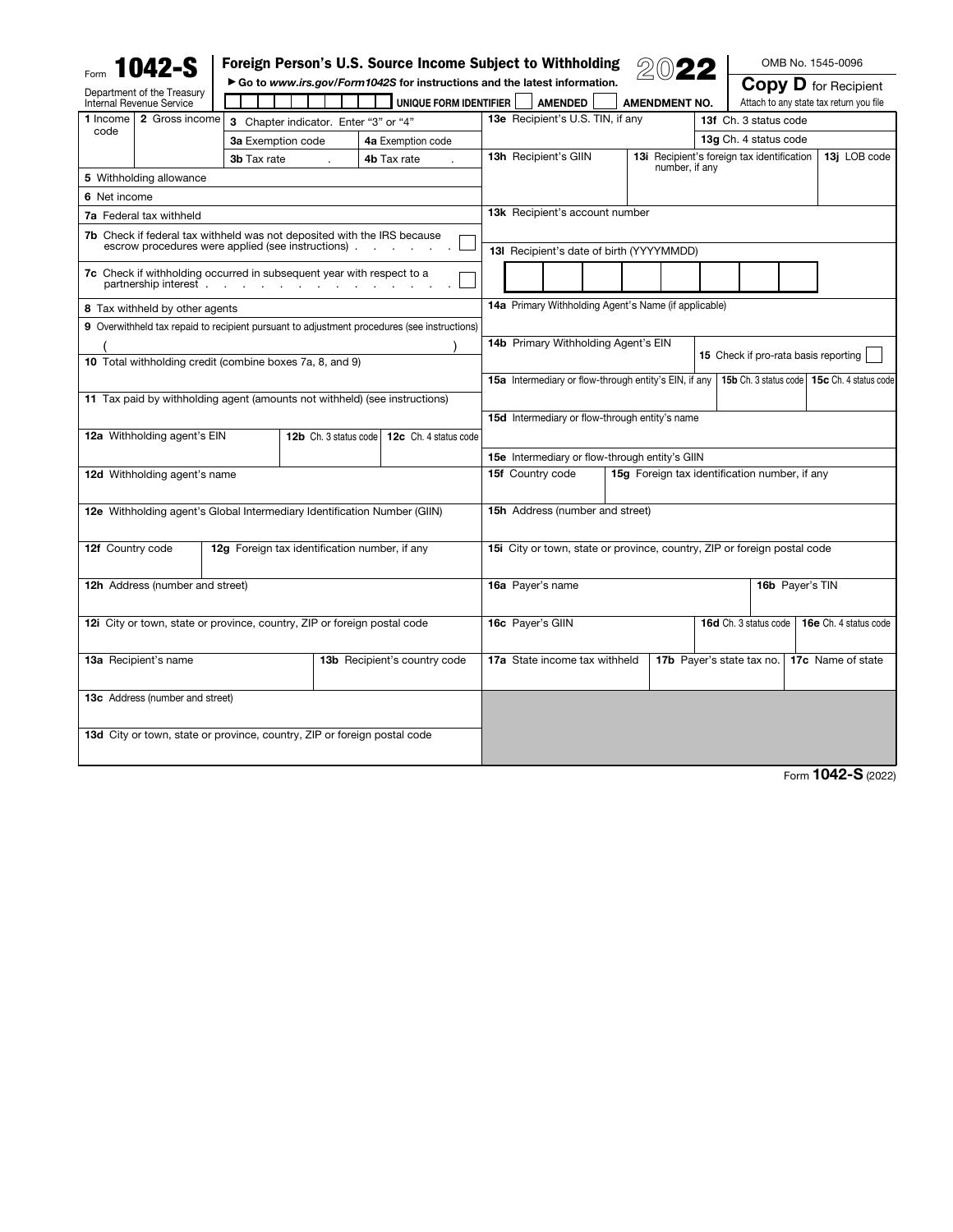|                                                                         | 1042-S                          |                    |                                                                                                         | Foreign Person's U.S. Source Income Subject to Withholding                                         |                                                                          |                                                       |  |                                                   |                                      |                       |  | OMB No. 1545-0096                                                      |  |  |
|-------------------------------------------------------------------------|---------------------------------|--------------------|---------------------------------------------------------------------------------------------------------|----------------------------------------------------------------------------------------------------|--------------------------------------------------------------------------|-------------------------------------------------------|--|---------------------------------------------------|--------------------------------------|-----------------------|--|------------------------------------------------------------------------|--|--|
| Department of the Treasury<br>Internal Revenue Service                  |                                 |                    |                                                                                                         | Go to www.irs.gov/Form1042S for instructions and the latest information.<br>UNIQUE FORM IDENTIFIER |                                                                          | <b>AMENDED</b>                                        |  | <b>AMENDMENT NO.</b>                              |                                      |                       |  | <b>Copy D</b> for Recipient<br>Attach to any state tax return you file |  |  |
| 1 Income                                                                | 2 Gross income                  |                    | 3 Chapter indicator. Enter "3" or "4"                                                                   |                                                                                                    |                                                                          | 13e Recipient's U.S. TIN, if any                      |  |                                                   |                                      | 13f Ch. 3 status code |  |                                                                        |  |  |
| code                                                                    |                                 | 3a Exemption code  |                                                                                                         | 4a Exemption code                                                                                  |                                                                          |                                                       |  | 13g Ch. 4 status code                             |                                      |                       |  |                                                                        |  |  |
|                                                                         |                                 | <b>3b</b> Tax rate | 4b Tax rate                                                                                             |                                                                                                    | 13h Recipient's GIIN                                                     |                                                       |  | <b>13i</b> Recipient's foreign tax identification |                                      | 13j LOB code          |  |                                                                        |  |  |
| 5 Withholding allowance                                                 |                                 |                    |                                                                                                         |                                                                                                    |                                                                          |                                                       |  | number, if any                                    |                                      |                       |  |                                                                        |  |  |
| 6 Net income                                                            |                                 |                    |                                                                                                         |                                                                                                    |                                                                          |                                                       |  |                                                   |                                      |                       |  |                                                                        |  |  |
| 7a Federal tax withheld                                                 |                                 |                    | 13k Recipient's account number                                                                          |                                                                                                    |                                                                          |                                                       |  |                                                   |                                      |                       |  |                                                                        |  |  |
| 7b Check if federal tax withheld was not deposited with the IRS because |                                 |                    |                                                                                                         |                                                                                                    |                                                                          |                                                       |  |                                                   |                                      |                       |  |                                                                        |  |  |
|                                                                         |                                 |                    | escrow procedures were applied (see instructions)                                                       |                                                                                                    |                                                                          | 13I Recipient's date of birth (YYYYMMDD)              |  |                                                   |                                      |                       |  |                                                                        |  |  |
|                                                                         | partnership interest.           | <b>Service</b>     | 7c Check if withholding occurred in subsequent year with respect to a<br>and the company of the company |                                                                                                    |                                                                          |                                                       |  |                                                   |                                      |                       |  |                                                                        |  |  |
|                                                                         | 8 Tax withheld by other agents  |                    |                                                                                                         |                                                                                                    |                                                                          | 14a Primary Withholding Agent's Name (if applicable)  |  |                                                   |                                      |                       |  |                                                                        |  |  |
|                                                                         |                                 |                    |                                                                                                         | 9 Overwithheld tax repaid to recipient pursuant to adjustment procedures (see instructions)        |                                                                          |                                                       |  |                                                   |                                      |                       |  |                                                                        |  |  |
|                                                                         |                                 |                    |                                                                                                         |                                                                                                    |                                                                          | 14b Primary Withholding Agent's EIN                   |  |                                                   |                                      |                       |  |                                                                        |  |  |
|                                                                         |                                 |                    | 10 Total withholding credit (combine boxes 7a, 8, and 9)                                                |                                                                                                    |                                                                          |                                                       |  |                                                   | 15 Check if pro-rata basis reporting |                       |  |                                                                        |  |  |
|                                                                         |                                 |                    |                                                                                                         |                                                                                                    |                                                                          | 15a Intermediary or flow-through entity's EIN, if any |  |                                                   |                                      |                       |  | 15b Ch. 3 status code   15c Ch. 4 status code                          |  |  |
|                                                                         |                                 |                    |                                                                                                         | 11 Tax paid by withholding agent (amounts not withheld) (see instructions)                         |                                                                          |                                                       |  |                                                   |                                      |                       |  |                                                                        |  |  |
|                                                                         |                                 |                    |                                                                                                         |                                                                                                    |                                                                          | 15d Intermediary or flow-through entity's name        |  |                                                   |                                      |                       |  |                                                                        |  |  |
|                                                                         | 12a Withholding agent's EIN     |                    | 12b Ch. 3 status code                                                                                   | 12c Ch. 4 status code                                                                              |                                                                          |                                                       |  |                                                   |                                      |                       |  |                                                                        |  |  |
|                                                                         |                                 |                    |                                                                                                         |                                                                                                    |                                                                          | 15e Intermediary or flow-through entity's GIIN        |  |                                                   |                                      |                       |  |                                                                        |  |  |
|                                                                         | 12d Withholding agent's name    |                    |                                                                                                         |                                                                                                    | 15g Foreign tax identification number, if any<br>15f Country code        |                                                       |  |                                                   |                                      |                       |  |                                                                        |  |  |
|                                                                         |                                 |                    |                                                                                                         |                                                                                                    |                                                                          |                                                       |  |                                                   |                                      |                       |  |                                                                        |  |  |
|                                                                         |                                 |                    |                                                                                                         | 12e Withholding agent's Global Intermediary Identification Number (GIIN)                           | <b>15h</b> Address (number and street)                                   |                                                       |  |                                                   |                                      |                       |  |                                                                        |  |  |
|                                                                         |                                 |                    |                                                                                                         |                                                                                                    |                                                                          |                                                       |  |                                                   |                                      |                       |  |                                                                        |  |  |
| 12f Country code                                                        |                                 |                    | 12g Foreign tax identification number, if any                                                           |                                                                                                    | 15i City or town, state or province, country, ZIP or foreign postal code |                                                       |  |                                                   |                                      |                       |  |                                                                        |  |  |
|                                                                         |                                 |                    |                                                                                                         |                                                                                                    |                                                                          |                                                       |  |                                                   |                                      |                       |  |                                                                        |  |  |
|                                                                         | 12h Address (number and street) |                    |                                                                                                         |                                                                                                    | 16a Payer's name<br>16b Payer's TIN                                      |                                                       |  |                                                   |                                      |                       |  |                                                                        |  |  |
|                                                                         |                                 |                    | 12i City or town, state or province, country, ZIP or foreign postal code                                |                                                                                                    | 16c Payer's GIIN                                                         |                                                       |  |                                                   | 16d Ch. 3 status code                |                       |  | 16e Ch. 4 status code                                                  |  |  |
|                                                                         |                                 |                    |                                                                                                         |                                                                                                    |                                                                          |                                                       |  |                                                   |                                      |                       |  |                                                                        |  |  |
| 13a Recipient's name<br>13b Recipient's country code                    |                                 |                    |                                                                                                         |                                                                                                    |                                                                          | 17a State income tax withheld                         |  |                                                   | 17b Payer's state tax no.            |                       |  | 17c Name of state                                                      |  |  |
|                                                                         |                                 |                    |                                                                                                         |                                                                                                    |                                                                          |                                                       |  |                                                   |                                      |                       |  |                                                                        |  |  |
| <b>13c</b> Address (number and street)                                  |                                 |                    |                                                                                                         |                                                                                                    |                                                                          |                                                       |  |                                                   |                                      |                       |  |                                                                        |  |  |
|                                                                         |                                 |                    |                                                                                                         |                                                                                                    |                                                                          |                                                       |  |                                                   |                                      |                       |  |                                                                        |  |  |
|                                                                         |                                 |                    | 13d City or town, state or province, country, ZIP or foreign postal code                                |                                                                                                    |                                                                          |                                                       |  |                                                   |                                      |                       |  |                                                                        |  |  |
|                                                                         |                                 |                    |                                                                                                         |                                                                                                    |                                                                          |                                                       |  |                                                   |                                      |                       |  |                                                                        |  |  |
|                                                                         |                                 |                    |                                                                                                         |                                                                                                    |                                                                          |                                                       |  |                                                   |                                      |                       |  |                                                                        |  |  |

Form 1042-S (2022)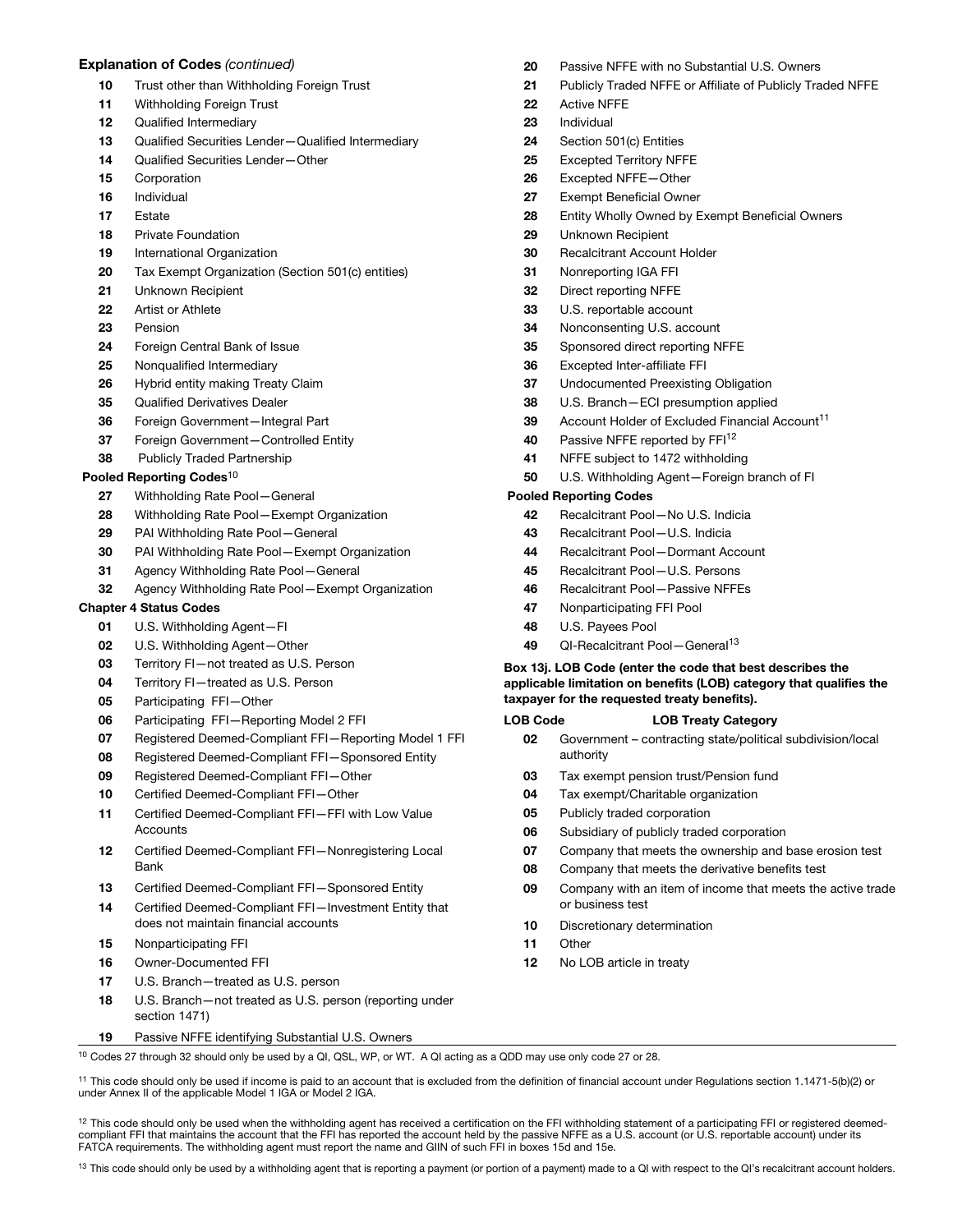### Explanation of Codes *(continued)*

- 10 Trust other than Withholding Foreign Trust
- 11 Withholding Foreign Trust
- 12 Qualified Intermediary
- 13 Qualified Securities Lender-Qualified Intermediary
- 14 Qualified Securities Lender—Other
- 15 Corporation
- 16 Individual
- 17 Estate
- 18 Private Foundation
- 19 International Organization
- 20 Tax Exempt Organization (Section 501(c) entities)
- 21 Unknown Recipient
- 22 Artist or Athlete
- 23 Pension
- 24 Foreign Central Bank of Issue
- 25 Nonqualified Intermediary
- 26 Hybrid entity making Treaty Claim
- 35 Qualified Derivatives Dealer
- 36 Foreign Government—Integral Part
- 37 Foreign Government-Controlled Entity
- 38 Publicly Traded Partnership

### Pooled Reporting Codes<sup>10</sup>

- 27 Withholding Rate Pool—General
- 28 Withholding Rate Pool—Exempt Organization
- 29 PAI Withholding Rate Pool—General
- 30 PAI Withholding Rate Pool—Exempt Organization
- 31 Agency Withholding Rate Pool—General
- 32 Agency Withholding Rate Pool—Exempt Organization

### Chapter 4 Status Codes

- 01 U.S. Withholding Agent—FI
- 02 U.S. Withholding Agent—Other
- 03 Territory FI—not treated as U.S. Person
- 04 Territory FI—treated as U.S. Person
- 05 Participating FFI-Other
- 06 Participating FFI—Reporting Model 2 FFI
- 07 Registered Deemed-Compliant FFI—Reporting Model 1 FFI
- 08 Registered Deemed-Compliant FFI—Sponsored Entity
- 09 Registered Deemed-Compliant FFI—Other
- 10 Certified Deemed-Compliant FFI—Other
- 11 Certified Deemed-Compliant FFI—FFI with Low Value Accounts
- 12 Certified Deemed-Compliant FFI—Nonregistering Local Bank
- 13 Certified Deemed-Compliant FFI-Sponsored Entity
- 14 Certified Deemed-Compliant FFI-Investment Entity that does not maintain financial accounts
- 15 Nonparticipating FFI
- 16 Owner-Documented FFI
- 17 U.S. Branch—treated as U.S. person
- 18 U.S. Branch—not treated as U.S. person (reporting under section 1471)
- 19 Passive NFFE identifying Substantial U.S. Owners

20 Passive NFFE with no Substantial U.S. Owners

- 21 Publicly Traded NFFE or Affiliate of Publicly Traded NFFE
- 22 Active NFFE
- 23 Individual
- 24 Section 501(c) Entities
- 25 Excepted Territory NFFE
- 26 Excepted NFFE—Other
- 27 Exempt Beneficial Owner
- 28 Entity Wholly Owned by Exempt Beneficial Owners
- 29 Unknown Recipient
- 30 Recalcitrant Account Holder
- 31 Nonreporting IGA FFI
- 32 Direct reporting NFFE
- 33 U.S. reportable account
- 34 Nonconsenting U.S. account
- 35 Sponsored direct reporting NFFE
- 36 Excepted Inter-affiliate FFI
- 37 Undocumented Preexisting Obligation
- 38 U.S. Branch—ECI presumption applied
- 39 Account Holder of Excluded Financial Account<sup>11</sup>
- 40 Passive NFFE reported by FFI<sup>12</sup>
- 41 NFFE subject to 1472 withholding
- 50 U.S. Withholding Agent—Foreign branch of FI

### Pooled Reporting Codes

- 42 Recalcitrant Pool—No U.S. Indicia
- 43 Recalcitrant Pool—U.S. Indicia
- 44 Recalcitrant Pool—Dormant Account
- 45 Recalcitrant Pool—U.S. Persons
- 46 Recalcitrant Pool—Passive NFFEs
- 47 Nonparticipating FFI Pool
- 48 U.S. Payees Pool
- 49 QI-Recalcitrant Pool-General<sup>13</sup>

#### Box 13j. LOB Code (enter the code that best describes the applicable limitation on benefits (LOB) category that qualifies the taxpayer for the requested treaty benefits).

#### LOB Code LOB Treaty Category

- 02 Government contracting state/political subdivision/local authority
- 03 Tax exempt pension trust/Pension fund
- 04 Tax exempt/Charitable organization
- 05 Publicly traded corporation
- 06 Subsidiary of publicly traded corporation
- 07 Company that meets the ownership and base erosion test
- 08 Company that meets the derivative benefits test
- 09 Company with an item of income that meets the active trade or business test
- 10 Discretionary determination
- 11 Other
- 12 No LOB article in treaty

<sup>10</sup> Codes 27 through 32 should only be used by a QI, QSL, WP, or WT. A QI acting as a QDD may use only code 27 or 28.

<sup>11</sup> This code should only be used if income is paid to an account that is excluded from the definition of financial account under Regulations section 1.1471-5(b)(2) or under Annex II of the applicable Model 1 IGA or Model 2 IGA.

<sup>12</sup> This code should only be used when the withholding agent has received a certification on the FFI withholding statement of a participating FFI or registered deemedcompliant FFI that maintains the account that the FFI has reported the account held by the passive NFFE as a U.S. account (or U.S. reportable account) under its FATCA requirements. The withholding agent must report the name and GIIN of such FFI in boxes 15d and 15e.

<sup>13</sup> This code should only be used by a withholding agent that is reporting a payment (or portion of a payment) made to a QI with respect to the QI's recalcitrant account holders.